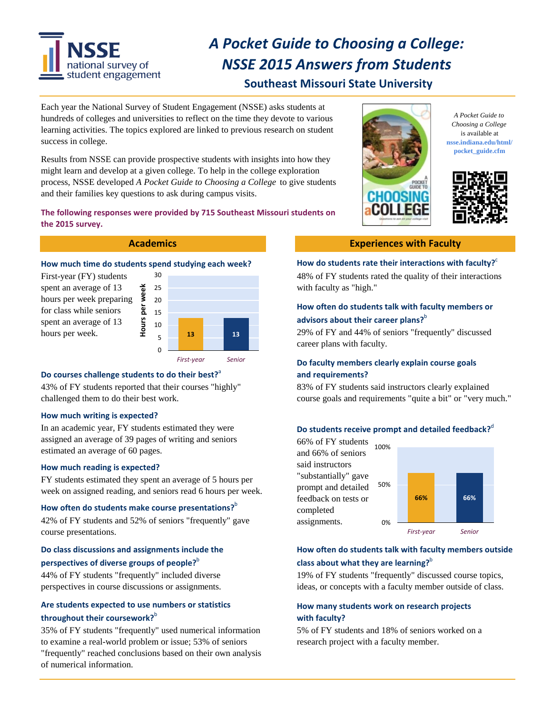

# *A Pocket Guide to Choosing a College: NSSE 2015 Answers from Students*

## **Southeast Missouri State University**

Each year the National Survey of Student Engagement (NSSE) asks students at hundreds of colleges and universities to reflect on the time they devote to various learning activities. The topics explored are linked to previous research on student success in college.

Results from NSSE can provide prospective students with insights into how they might learn and develop at a given college. To help in the college exploration process, NSSE developed *A Pocket Guide to Choosing a College* to give students and their families key questions to ask during campus visits.

## **The following responses were provided by 715 Southeast Missouri students on the 2015 survey.**

#### How much time do students spend studying each week? How do students rate their interactions with faculty?  $e^{\epsilon}$ How much time do students spend studying each week?

spent an average of 13 hours per week preparing for class while seniors spent an average of 13 hours per week.



## Do courses challenge students to do their best?<sup>a</sup>

43% of FY students reported that their courses "highly" challenged them to do their best work.

## **How much writing is expected?**

In an academic year, FY students estimated they were assigned an average of 39 pages of writing and seniors estimated an average of 60 pages.

## **How much reading is expected?**

FY students estimated they spent an average of 5 hours per week on assigned reading, and seniors read 6 hours per week.

## **How often do students make course presentations?<sup>b</sup>**

42% of FY students and 52% of seniors "frequently" gave course presentations.

## **Do class discussions and assignments include the perspectives of diverse groups of people?**<sup>b</sup>

44% of FY students "frequently" included diverse perspectives in course discussions or assignments.

## **Are students expected to use numbers or statistics throughout their coursework?**<sup>b</sup>

35% of FY students "frequently" used numerical information to examine a real-world problem or issue; 53% of seniors "frequently" reached conclusions based on their own analysis of numerical information.



*A Pocket Guide to Choosing a College*  is available at **[nsse.indiana.edu/html/](https://nsse.indiana.edu/html) pocket\_guide.cfm**



## **Academics Experiences with Faculty**

First-year (FY) students 30 30 48% of FY students rated the quality of their interactions

## **How often do students talk with faculty members or advisors about their career plans?**<sup>b</sup>

29% of FY and 44% of seniors "frequently" discussed career plans with faculty.

## **Do faculty members clearly explain course goals and requirements?**

83% of FY students said instructors clearly explained course goals and requirements "quite a bit" or "very much."

## **Do** students receive prompt and detailed feedback?<sup>d</sup>

66% of FY students 100% and 66% of seniors said instructors "substantially" gave prompt and detailed 50% **66% 66%** feedback on tests or completed assignments. 0% *First‐year Senior*

## **How often do students talk with faculty members outside class about what they are learning?**<sup>b</sup>

19% of FY students "frequently" discussed course topics, ideas, or concepts with a faculty member outside of class.

## **How many students work on research projects with faculty?**

5% of FY students and 18% of seniors worked on a research project with a faculty member.